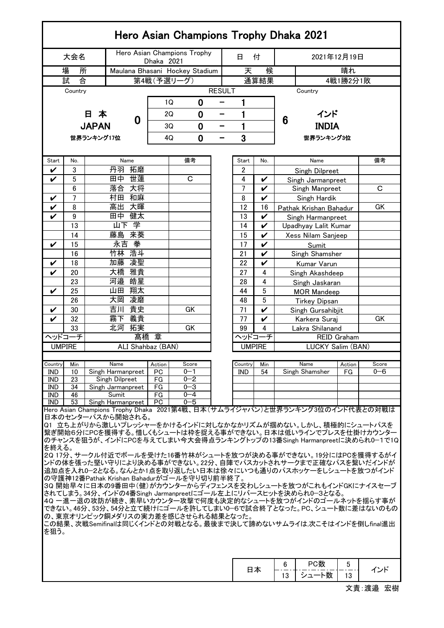| Hero Asian Champions Trophy Dhaka 2021                                                                                                                                                                                                                                                                                                                                                                                                                                                                                                                                                                                                                                                                                                                                                                                                              |                                          |              |                                           |                   |           |                    |   |                |                                |                        |                                                                             |                    |         |  |  |
|-----------------------------------------------------------------------------------------------------------------------------------------------------------------------------------------------------------------------------------------------------------------------------------------------------------------------------------------------------------------------------------------------------------------------------------------------------------------------------------------------------------------------------------------------------------------------------------------------------------------------------------------------------------------------------------------------------------------------------------------------------------------------------------------------------------------------------------------------------|------------------------------------------|--------------|-------------------------------------------|-------------------|-----------|--------------------|---|----------------|--------------------------------|------------------------|-----------------------------------------------------------------------------|--------------------|---------|--|--|
|                                                                                                                                                                                                                                                                                                                                                                                                                                                                                                                                                                                                                                                                                                                                                                                                                                                     | 大会名                                      |              | Hero Asian Champions Trophy<br>Dhaka 2021 |                   |           |                    |   |                | 付                              | 2021年12月19日            |                                                                             |                    |         |  |  |
|                                                                                                                                                                                                                                                                                                                                                                                                                                                                                                                                                                                                                                                                                                                                                                                                                                                     | 場<br>所<br>Maulana Bhasani Hockey Stadium |              |                                           |                   |           |                    | 天 | 候              | 晴れ                             |                        |                                                                             |                    |         |  |  |
|                                                                                                                                                                                                                                                                                                                                                                                                                                                                                                                                                                                                                                                                                                                                                                                                                                                     | 試                                        | 合            |                                           |                   |           | 第4戦(予選リーグ)         |   |                | 通算結果                           | 4戦1勝2分1敗               |                                                                             |                    |         |  |  |
| <b>RESULT</b><br>Country<br>Country                                                                                                                                                                                                                                                                                                                                                                                                                                                                                                                                                                                                                                                                                                                                                                                                                 |                                          |              |                                           |                   |           |                    |   |                |                                |                        |                                                                             |                    |         |  |  |
|                                                                                                                                                                                                                                                                                                                                                                                                                                                                                                                                                                                                                                                                                                                                                                                                                                                     |                                          |              |                                           |                   |           | 1Q<br>0            |   | 1              |                                |                        |                                                                             |                    |         |  |  |
|                                                                                                                                                                                                                                                                                                                                                                                                                                                                                                                                                                                                                                                                                                                                                                                                                                                     |                                          | 日本           |                                           |                   |           | 2Q<br>0            | - |                | 1                              |                        | インド                                                                         |                    |         |  |  |
|                                                                                                                                                                                                                                                                                                                                                                                                                                                                                                                                                                                                                                                                                                                                                                                                                                                     |                                          |              |                                           | 0                 |           |                    |   |                |                                | 6                      |                                                                             |                    |         |  |  |
|                                                                                                                                                                                                                                                                                                                                                                                                                                                                                                                                                                                                                                                                                                                                                                                                                                                     |                                          | <b>JAPAN</b> |                                           |                   | 0<br>3Q   |                    | - | 1              |                                |                        | <b>INDIA</b><br>世界ランキング3位                                                   |                    |         |  |  |
|                                                                                                                                                                                                                                                                                                                                                                                                                                                                                                                                                                                                                                                                                                                                                                                                                                                     |                                          | 世界ランキング17位   |                                           |                   | 4Q<br>0   |                    |   | 3              |                                |                        |                                                                             |                    |         |  |  |
|                                                                                                                                                                                                                                                                                                                                                                                                                                                                                                                                                                                                                                                                                                                                                                                                                                                     |                                          |              |                                           |                   |           |                    |   |                |                                |                        |                                                                             |                    |         |  |  |
| Start                                                                                                                                                                                                                                                                                                                                                                                                                                                                                                                                                                                                                                                                                                                                                                                                                                               | No.                                      |              |                                           | Name              |           | 備考                 |   | Start          | No.                            |                        | Name                                                                        |                    | 備考      |  |  |
| V                                                                                                                                                                                                                                                                                                                                                                                                                                                                                                                                                                                                                                                                                                                                                                                                                                                   | 3                                        |              | 丹羽                                        | 拓磨                |           |                    |   | 2              |                                |                        | Singh Dilpreet                                                              |                    |         |  |  |
| V                                                                                                                                                                                                                                                                                                                                                                                                                                                                                                                                                                                                                                                                                                                                                                                                                                                   | 5                                        |              | 田中                                        | 世蓮                |           | C                  |   | 4              | V                              |                        | Singh Jarmanpreet                                                           |                    |         |  |  |
|                                                                                                                                                                                                                                                                                                                                                                                                                                                                                                                                                                                                                                                                                                                                                                                                                                                     | 6                                        |              | 落合                                        | 大将                |           |                    |   | $\overline{7}$ | $\checkmark$                   |                        | Singh Manpreet                                                              |                    | C       |  |  |
| V                                                                                                                                                                                                                                                                                                                                                                                                                                                                                                                                                                                                                                                                                                                                                                                                                                                   | 7                                        |              | 村田                                        | 和麻                |           |                    |   | 8              | $\checkmark$                   |                        | Singh Hardik                                                                |                    |         |  |  |
| V                                                                                                                                                                                                                                                                                                                                                                                                                                                                                                                                                                                                                                                                                                                                                                                                                                                   | 8                                        |              | 高出                                        | 大暉                |           |                    |   | 12             | 16                             | Pathak Krishan Bahadur |                                                                             |                    | GK      |  |  |
| V                                                                                                                                                                                                                                                                                                                                                                                                                                                                                                                                                                                                                                                                                                                                                                                                                                                   | 9                                        |              | 田中                                        | 健太                |           |                    |   | 13             | V                              | Singh Harmanpreet      |                                                                             |                    |         |  |  |
|                                                                                                                                                                                                                                                                                                                                                                                                                                                                                                                                                                                                                                                                                                                                                                                                                                                     | 13                                       |              | 山下学                                       |                   |           |                    |   | 14             | V                              |                        | Upadhyay Lalit Kumar                                                        |                    |         |  |  |
|                                                                                                                                                                                                                                                                                                                                                                                                                                                                                                                                                                                                                                                                                                                                                                                                                                                     | 14                                       |              | 藤島                                        | 来葵                |           |                    |   | 15             | V                              |                        | Xess Nilam Sanjeep                                                          |                    |         |  |  |
| V                                                                                                                                                                                                                                                                                                                                                                                                                                                                                                                                                                                                                                                                                                                                                                                                                                                   | 15                                       |              | 永吉                                        | 拳                 |           |                    |   | 17             | V                              |                        | Sumit                                                                       |                    |         |  |  |
|                                                                                                                                                                                                                                                                                                                                                                                                                                                                                                                                                                                                                                                                                                                                                                                                                                                     | 16                                       |              | 竹林                                        | 浩斗                |           |                    |   | 21             | $\checkmark$                   |                        | Singh Shamsher                                                              |                    |         |  |  |
| V                                                                                                                                                                                                                                                                                                                                                                                                                                                                                                                                                                                                                                                                                                                                                                                                                                                   | 18                                       |              | 加藤                                        | 凌聖                |           |                    |   | 22             | V                              |                        | Kumar Varun                                                                 |                    |         |  |  |
| V                                                                                                                                                                                                                                                                                                                                                                                                                                                                                                                                                                                                                                                                                                                                                                                                                                                   | 20                                       |              | 大橋                                        | 雅貴                |           |                    |   | 27             | 4                              |                        | Singh Akashdeep                                                             |                    |         |  |  |
|                                                                                                                                                                                                                                                                                                                                                                                                                                                                                                                                                                                                                                                                                                                                                                                                                                                     | 23                                       |              | 河邉                                        | 皓星                |           |                    |   | 28             | 4                              |                        | Singh Jaskaran                                                              |                    |         |  |  |
| V                                                                                                                                                                                                                                                                                                                                                                                                                                                                                                                                                                                                                                                                                                                                                                                                                                                   | 25                                       |              | 翔太<br>山田                                  |                   |           |                    |   | 44             | 5                              | MOR Mandeep            |                                                                             |                    |         |  |  |
|                                                                                                                                                                                                                                                                                                                                                                                                                                                                                                                                                                                                                                                                                                                                                                                                                                                     | 26                                       |              | 大岡                                        | 凌磨                |           |                    |   | 48             | 5                              |                        | <b>Tirkey Dipsan</b>                                                        |                    |         |  |  |
| V                                                                                                                                                                                                                                                                                                                                                                                                                                                                                                                                                                                                                                                                                                                                                                                                                                                   | 30                                       |              | 吉川                                        | 貴史<br>義貴          |           | GK                 |   | 71             | V                              | Singh Gursahibjit      |                                                                             |                    |         |  |  |
| $\checkmark$                                                                                                                                                                                                                                                                                                                                                                                                                                                                                                                                                                                                                                                                                                                                                                                                                                        | 霧下<br>32<br>北河<br>33                     |              |                                           |                   |           | GK                 |   | 77             | $\checkmark$<br>$\overline{4}$ |                        | Karkera Suraj                                                               |                    | GK      |  |  |
|                                                                                                                                                                                                                                                                                                                                                                                                                                                                                                                                                                                                                                                                                                                                                                                                                                                     |                                          |              |                                           | 拓実<br>髙橋          | 章         |                    |   | 99<br>ヘッドコーチ   |                                |                        | Lakra Shilanand                                                             | <b>REID Graham</b> |         |  |  |
| ヘッドコーチ<br><b>UMPIRE</b>                                                                                                                                                                                                                                                                                                                                                                                                                                                                                                                                                                                                                                                                                                                                                                                                                             |                                          |              |                                           | ALI Shahbaz (BAN) |           |                    |   | <b>UMPIRE</b>  |                                |                        | LUCKY Salim (BAN)                                                           |                    |         |  |  |
|                                                                                                                                                                                                                                                                                                                                                                                                                                                                                                                                                                                                                                                                                                                                                                                                                                                     |                                          |              |                                           |                   |           |                    |   |                |                                |                        |                                                                             |                    |         |  |  |
| Country                                                                                                                                                                                                                                                                                                                                                                                                                                                                                                                                                                                                                                                                                                                                                                                                                                             | Min                                      |              | Name                                      |                   | Action    | Score              |   | Country        | Min                            |                        | Name                                                                        | Action             | Score   |  |  |
| IND                                                                                                                                                                                                                                                                                                                                                                                                                                                                                                                                                                                                                                                                                                                                                                                                                                                 | 10                                       |              | Singh Harmanpreet                         |                   | PC        | 0-1                |   | IND            | 54                             |                        | Singh Shamsher                                                              | FG                 | $0 - 6$ |  |  |
| IND                                                                                                                                                                                                                                                                                                                                                                                                                                                                                                                                                                                                                                                                                                                                                                                                                                                 | 23                                       |              | Singh Dilpreet                            |                   | FG        | $0 - 2$            |   |                |                                |                        |                                                                             |                    |         |  |  |
| IND<br><b>IND</b>                                                                                                                                                                                                                                                                                                                                                                                                                                                                                                                                                                                                                                                                                                                                                                                                                                   | 34<br>46                                 |              | Singh Jarmanpreet<br>Sumit                |                   | FG<br>FG  | $0 - 3$<br>$0 - 4$ |   |                |                                |                        |                                                                             |                    |         |  |  |
| IND                                                                                                                                                                                                                                                                                                                                                                                                                                                                                                                                                                                                                                                                                                                                                                                                                                                 | 53                                       |              | Singh Harmanpreet                         |                   | <b>PC</b> | $0 - 5$            |   |                |                                |                        | Hero Asian Champions Trophy Dhaka 2021第4戦、日本(サムライジャパン)と世界ランキング3位のインド代表との対戦は |                    |         |  |  |
| 日本のセンターパスから開始される。<br>Q1 立ち上がりから激しいプレッシャーをかけるインドに対しなかなかリズムが掴めない。しかし、積極的にシュートパスを<br>繋ぎ開始6分にPCを獲得する。惜しくもシュートは枠を捉える事ができない。日本は低いラインでプレスを仕掛けカウンター<br>のチャンスを狙うが、インドにPCを与えてしまい今大会得点ランキングトップの13番Singh Harmanpreetに決められ0-1で1Q<br>を終える。<br>2Q 17分、サークル付近でボールを受けた16番竹林がシュートを放つが決める事ができない。19分にはPCを獲得するがイ<br>ンドの体を張った堅い守りにより決める事ができない。22分、自陣でパスカットされサークまで正確なパスを繋いだインドが<br>追加点を入れ0-2となる。なんとか1点を取り返したい日本は徐々にいつも通りのパスホッケーをしシュートを放つがインド<br>の守護神12番Pathak Krishan Bahadurがゴールを守り切り前半終了。<br>3Q 開始早々に日本の9番田中(健)がカウンターからディフェンスを交わしシュートを放つがこれもインドGKにナイスセーブ<br>されてしまう。34分、インドの4番Singh Jarmanpreetにゴール左上にリバースヒットを決められ0-3となる。<br>40 一進一退の攻防が続き、素早いカウンター攻撃で何度も決定的なシュートを放つがインドのゴールネットを揺らす事が<br>できない。46分、53分、54分と立て続けにゴールを許してしまい0—6で試合終了となった。PC、シュート数に差はないのもの<br>の、東京オリンピック銅メダリスの実力差を感じさせられる結果となった。<br>この結果、次戦Semifinalは同じくインドとの対戦となる。最後まで決して諦めないサムライは,次こそはインドを倒しfinal進出<br>を狙う。 |                                          |              |                                           |                   |           |                    |   |                |                                |                        |                                                                             |                    |         |  |  |
|                                                                                                                                                                                                                                                                                                                                                                                                                                                                                                                                                                                                                                                                                                                                                                                                                                                     |                                          |              |                                           |                   |           |                    |   |                | 日本                             | 6<br>13                | PC数<br>シュート数                                                                | 5<br>13            | インド     |  |  |